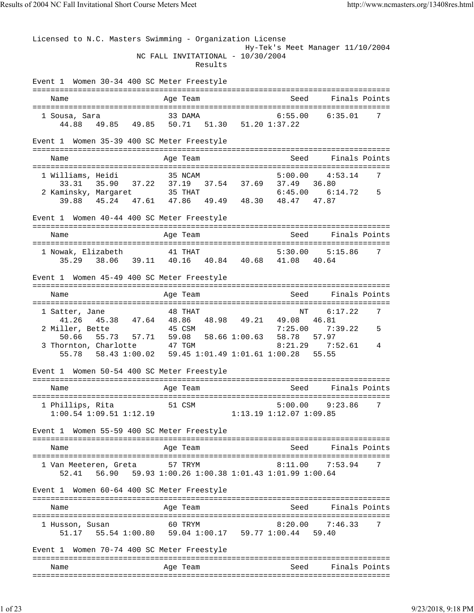Licensed to N.C. Masters Swimming - Organization License Hy-Tek's Meet Manager 11/10/2004 NC FALL INVITATIONAL - 10/30/2004 Results Event 1 Women 30-34 400 SC Meter Freestyle =============================================================================== Name and Age Team Seed Finals Points =============================================================================== 1 Sousa, Sara 33 DAMA 6:55.00 6:35.01 7 44.88 49.85 49.85 50.71 51.30 51.20 1:37.22 Event 1 Women 35-39 400 SC Meter Freestyle =============================================================================== Name and Age Team Seed Finals Points =============================================================================== 1 Williams, Heidi 35 NCAM 5:00.00 4:53.14 7 33.31 35.90 37.22 37.19 37.54 37.69 37.49 36.80 2 Kaminsky, Margaret 35 THAT 6:45.00 6:14.72 5 39.88 45.24 47.61 47.86 49.49 48.30 48.47 47.87 Event 1 Women 40-44 400 SC Meter Freestyle =============================================================================== Name and Age Team Seed Finals Points =============================================================================== 1 Nowak, Elizabeth 41 THAT 5:30.00 5:15.86 7 35.29 38.06 39.11 40.16 40.84 40.68 41.08 40.64 Event 1 Women 45-49 400 SC Meter Freestyle =============================================================================== Name Age Team Seed Finals Points Age Team Seed Finals Points =============================================================================== 1 Satter, Jane 6:18 48 THAT 41.26 45.38 47.64 48.86 48.98 49.21 49.08 46.81 2 Miller, Bette 45 CSM 50.66 55.73 57.71 59.08 58.66 1:00.63 58.78 57.97 3 Thornton, Charlotte 47 TGM 8:21.29 7:52.61 4 55.78 58.43 1:00.02 59.45 1:01.49 1:01.61 1:00.28 55.55 Event 1 Women 50-54 400 SC Meter Freestyle =============================================================================== Name **Age Team** Age Team Seed Finals Points =============================================================================== 1 Phillips, Rita 51 CSM 5:00.00 9:23.86 7 1:00.54 1:09.51 1:12.19 1:13.19 1:12.07 1:09.85 Event 1 Women 55-59 400 SC Meter Freestyle =============================================================================== Name Age Team Seed Finals Points =============================================================================== 1 Van Meeteren, Greta 57 TRYM 52.41 56.90 59.93 1:00.26 1:00.38 1:01.43 1:01.99 1:00.64 Event 1 Women 60-64 400 SC Meter Freestyle =============================================================================== Name and Age Team Seed Finals Points =============================================================================== 1 Husson, Susan 60 TRYM 8:20.00 7:46.33 7 51.17 55.54 1:00.80 59.04 1:00.17 59.77 1:00.44 59.40 Event 1 Women 70-74 400 SC Meter Freestyle =============================================================================== Name and Age Team Seed Finals Points ===============================================================================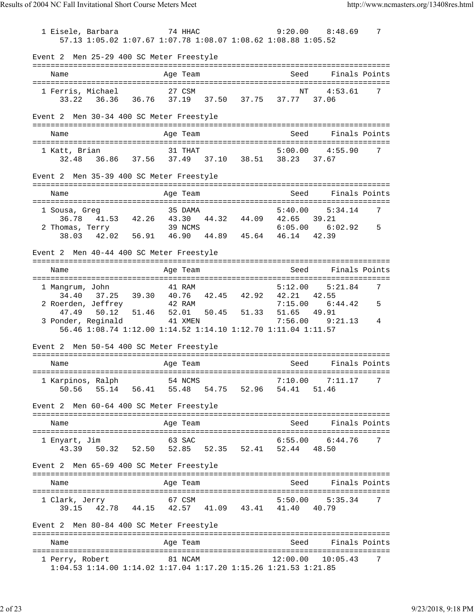1 Eisele, Barbara 74 HHAC 9:20.00 8:48.69 7 57.13 1:05.02 1:07.67 1:07.78 1:08.07 1:08.62 1:08.88 1:05.52 Event 2 Men 25-29 400 SC Meter Freestyle =============================================================================== Age Team Seed Finals Points =============================================================================== 1 Ferris, Michael 27 CSM 33.22 36.36 36.76 37.19 37.50 37.75 37.77 37.06 Event 2 Men 30-34 400 SC Meter Freestyle =============================================================================== Name and Age Team Seed Finals Points =============================================================================== 1 Katt, Brian 31 THAT 5:00.00 4:55.90 7 32.48 36.86 37.56 37.49 37.10 38.51 38.23 37.67 Event 2 Men 35-39 400 SC Meter Freestyle =============================================================================== Name and Age Team Seed Finals Points =============================================================================== 1 Sousa, Greg 35 DAMA 5:40.00 5:34.14 36.78 41.53 42.26 43.30 44.32 44.09 42.65 39.21 2 Thomas, Terry 39 NCMS 6:05.00 6:02.92 5 38.03 42.02 56.91 46.90 44.89 45.64 46.14 42.39 Event 2 Men 40-44 400 SC Meter Freestyle =============================================================================== Name Age Team Seed Finals Points =============================================================================== 1 Mangrum, John 34.40 37.25 39.30 40.76 42.45 42.92 42.21 42.55 2 Roerden, Jeffrey 42 RAM 7:15.00 6:44.42 5 47.49 50.12 51.46 52.01 50.45 51.33 51.65 49.91 3 Ponder, Reginald 41 XMEN 7:56.00 9:21.13 4 56.46 1:08.74 1:12.00 1:14.52 1:14.10 1:12.70 1:11.04 1:11.57 Event 2 Men 50-54 400 SC Meter Freestyle =============================================================================== Name and Age Team Seed Finals Points =============================================================================== 1 Karpinos, Ralph 54 NCMS 7:10.00 7:11.17 7 50.56 55.14 56.41 55.48 54.75 52.96 54.41 51.46 Event 2 Men 60-64 400 SC Meter Freestyle =============================================================================== Name and Age Team Seed Finals Points =============================================================================== 1 Enyart, Jim 63 SAC 43.39 50.32 52.50 52.85 52.35 52.41 52.44 48.50 Event 2 Men 65-69 400 SC Meter Freestyle =============================================================================== Name Age Team Seed Finals Points =============================================================================== 1 Clark, Jerry 67 CSM 5:50.00 5:35.34 7 39.15 42.78 44.15 42.57 41.09 43.41 41.40 40.79 Event 2 Men 80-84 400 SC Meter Freestyle =============================================================================== Name **Age Team** Age Team Seed Finals Points =============================================================================== 1 Perry, Robert 81 NCAM 12:00.00 10:05.43 7 1:04.53 1:14.00 1:14.02 1:17.04 1:17.20 1:15.26 1:21.53 1:21.85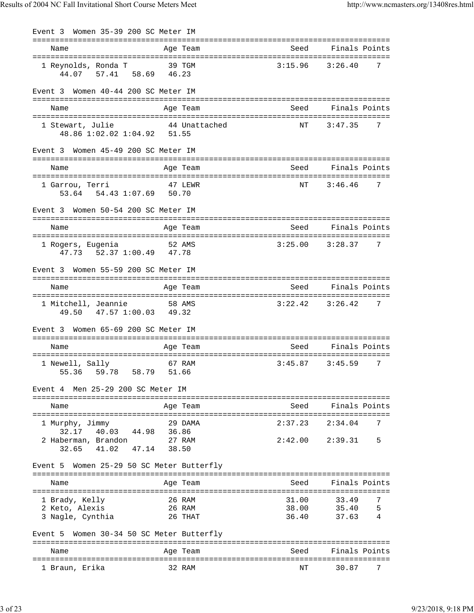| Event 3 Women 35-39 200 SC Meter IM                     |               |         |                          |
|---------------------------------------------------------|---------------|---------|--------------------------|
| Name                                                    | Age Team      |         | Seed Finals Points       |
| 1 Reynolds, Ronda T<br>44.07 57.41 58.69 46.23          | 39 TGM        | 3:15.96 | 3:26.40<br>7             |
| Event 3 Women 40-44 200 SC Meter IM                     |               |         |                          |
| Name                                                    | Age Team      | Seed    | Finals Points            |
| 1 Stewart, Julie<br>48.86 1:02.02 1:04.92 51.55         | 44 Unattached | NΤ      | 3:47.35<br>7             |
| Event 3 Women 45-49 200 SC Meter IM                     |               |         |                          |
| Name                                                    | Age Team      | Seed    | Finals Points            |
|                                                         |               |         | 7                        |
| 1 Garrou, Terri<br>53.64 54.43 1:07.69 50.70            | 47 LEWR       | ΝT      | 3:46.46                  |
| Event 3 Women 50-54 200 SC Meter IM                     |               |         |                          |
| Name                                                    | Age Team      | Seed    | Finals Points            |
| 1 Rogers, Eugenia<br>47.73 52.37 1:00.49 47.78          | 52 AMS        |         | $3:25.00$ $3:28.37$<br>7 |
| Event 3 Women 55-59 200 SC Meter IM                     |               |         |                          |
| Name                                                    | Age Team      | Seed    | Finals Points            |
|                                                         |               |         |                          |
| 1 Mitchell, Jeannie 58 AMS<br>49.50 47.57 1:00.03 49.32 |               |         | $3:22.42$ $3:26.42$<br>7 |
| Women 65-69 200 SC Meter IM<br>Event 3                  |               |         |                          |
| Name                                                    | Age Team      |         | Seed Finals Points       |
| 1 Newell, Sally                                         | 67 RAM        | 3:45.87 | 3:45.59<br>7             |
| 55.36 59.78 58.79 51.66                                 |               |         |                          |
| Event 4 Men 25-29 200 SC Meter IM                       |               |         |                          |
| Name                                                    | Age Team      | Seed    | Finals Points            |
| 1 Murphy, Jimmy                                         | 29 DAMA       | 2:37.23 | 7<br>2:34.04             |
| 40.03 44.98 36.86<br>32.17<br>2 Haberman, Brandon       | 27 RAM        |         | $2:42.00$ $2:39.31$<br>5 |
| 41.02 47.14<br>32.65                                    | 38.50         |         |                          |
| Event 5 Women 25-29 50 SC Meter Butterfly               |               |         |                          |
| Name                                                    | Age Team      | Seed    | Finals Points            |
| 1 Brady, Kelly                                          | 26 RAM        | 31.00   | 7<br>33.49               |
| 2 Keto, Alexis                                          | 26 RAM        | 38.00   | 35.40<br>5               |
| 3 Nagle, Cynthia                                        | 26 THAT       | 36.40   | 37.63<br>4               |
| Event 5 Women 30-34 50 SC Meter Butterfly               |               |         |                          |
| Name                                                    | Age Team      | Seed    | Finals Points            |
| 1 Braun, Erika                                          | 32 RAM        | NΤ      | 30.87<br>7               |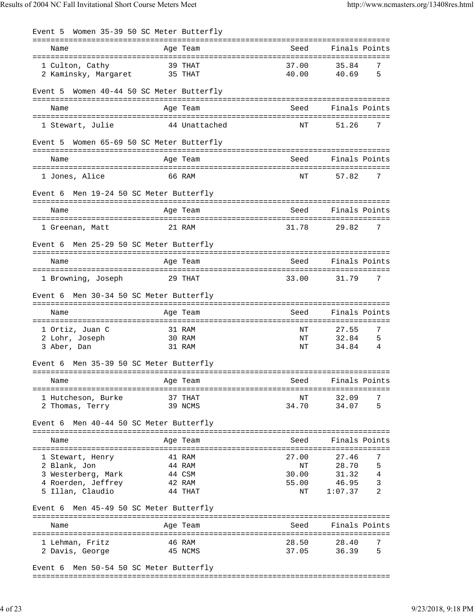| Event 5 Women 35-39 50 SC Meter Butterfly                                                        |                                                 |                                              |                                                                      |
|--------------------------------------------------------------------------------------------------|-------------------------------------------------|----------------------------------------------|----------------------------------------------------------------------|
| Name                                                                                             | Age Team                                        | =================<br>Seed                    | Finals Points                                                        |
| 1 Culton, Cathy<br>2 Kaminsky, Margaret 35 THAT                                                  | 39 THAT                                         | 37.00<br>40.00                               | 7<br>35.84<br>5<br>40.69                                             |
| Event 5                                                                                          | Women 40-44 50 SC Meter Butterfly               |                                              |                                                                      |
| Name                                                                                             | Age Team                                        | Seed                                         | Finals Points                                                        |
| 1 Stewart, Julie                                                                                 | 44 Unattached                                   | NT                                           | 51.26<br>7                                                           |
| Event 5 Women 65-69 50 SC Meter Butterfly                                                        |                                                 |                                              |                                                                      |
| Name                                                                                             | Age Team                                        | Seed                                         | Finals Points                                                        |
| 1 Jones, Alice                                                                                   | 66 RAM                                          | NΤ                                           | 7<br>57.82                                                           |
| Men 19-24 50 SC Meter Butterfly<br>Event 6                                                       |                                                 |                                              |                                                                      |
| Name                                                                                             | Age Team                                        | Seed                                         | Finals Points                                                        |
| 1 Greenan, Matt                                                                                  | 21 RAM                                          | 31.78                                        | 29.82<br>7                                                           |
| Event 6 Men 25-29 50 SC Meter Butterfly                                                          |                                                 |                                              |                                                                      |
| Name                                                                                             | Age Team                                        | Seed                                         | Finals Points                                                        |
| 1 Browning, Joseph 29 THAT                                                                       |                                                 | 33.00                                        | 7<br>31.79                                                           |
| Men 30-34 50 SC Meter Butterfly<br>Event 6                                                       |                                                 |                                              |                                                                      |
| Name                                                                                             | Age Team                                        | Seed                                         | Finals Points                                                        |
| 1 Ortiz, Juan C<br>2 Lohr, Joseph<br>3 Aber, Dan                                                 | 31 RAM<br>30 RAM<br>31 RAM                      | ΝT<br>ΝT<br>ΝT                               | 7<br>27.55<br>32.84<br>5<br>34.84<br>4                               |
| Men 35-39 50 SC Meter Butterfly<br>Event 6                                                       |                                                 |                                              |                                                                      |
| Name                                                                                             | Age Team                                        | Seed                                         | Finals Points                                                        |
| ===========================<br>1 Hutcheson, Burke<br>2 Thomas, Terry                             | ===============<br>37 THAT<br>39 NCMS           | :============================<br>NΤ<br>34.70 | 32.09<br>7<br>34.07<br>5                                             |
| Event 6 Men 40-44 50 SC Meter Butterfly                                                          |                                                 |                                              |                                                                      |
| Name                                                                                             | Age Team                                        | Seed                                         | Finals Points                                                        |
| 1 Stewart, Henry<br>2 Blank, Jon<br>3 Westerberg, Mark<br>4 Roerden, Jeffrey<br>5 Illan, Claudio | 41 RAM<br>44 RAM<br>44 CSM<br>42 RAM<br>44 THAT | 27.00<br>ΝT<br>30.00<br>55.00<br>ΝT          | 27.46<br>7<br>5<br>28.70<br>4<br>31.32<br>3<br>46.95<br>2<br>1:07.37 |
| Men 45-49 50 SC Meter Butterfly<br>Event 6                                                       |                                                 |                                              |                                                                      |
| Name                                                                                             | Age Team                                        | Seed                                         | Finals Points                                                        |
| 1 Lehman, Fritz<br>2 Davis, George                                                               | 46 RAM<br>45 NCMS                               | 28.50<br>37.05                               | 28.40<br>7<br>5<br>36.39                                             |
| Event 6 Men 50-54 50 SC Meter Butterfly                                                          |                                                 |                                              |                                                                      |

===============================================================================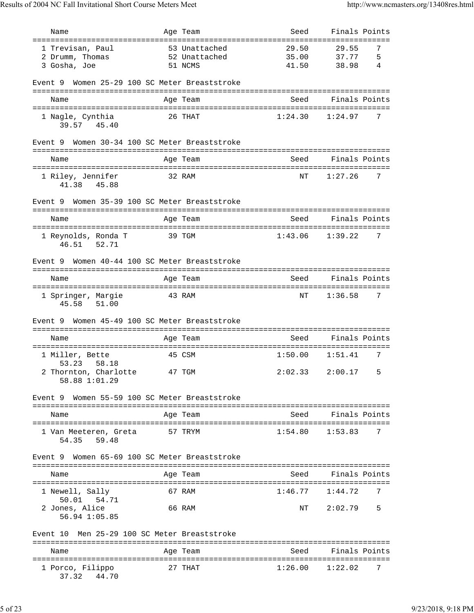|                                                 | Age Team                              | Seed    | Finals Points             |
|-------------------------------------------------|---------------------------------------|---------|---------------------------|
|                                                 |                                       | 29.50   |                           |
| 1 Trevisan, Paul<br>2 Drumm, Thomas             | 53 Unattached<br>52 Unattached        | 35.00   | 29.55<br>7<br>37.77<br>5  |
| 3 Gosha, Joe                                    | 51 NCMS                               | 41.50   | 38.98<br>4                |
|                                                 |                                       |         |                           |
| Event 9 Women 25-29 100 SC Meter Breaststroke   |                                       |         |                           |
| Name                                            | Age Team                              | Seed    | Finals Points             |
|                                                 |                                       |         |                           |
| 1 Nagle, Cynthia<br>39.57 45.40                 | 26 THAT                               | 1:24.30 | 7<br>1:24.97              |
| Event 9 Women 30-34 100 SC Meter Breaststroke   |                                       |         |                           |
| Name                                            | Age Team                              | Seed    | Finals Points             |
|                                                 |                                       |         |                           |
| 1 Riley, Jennifer<br>41.38 45.88                | 32 RAM                                | ΝT      | 1:27.26<br>7              |
| Event 9                                         | Women 35-39 100 SC Meter Breaststroke |         |                           |
| Name                                            | Age Team                              | Seed    | Finals Points             |
|                                                 |                                       |         |                           |
| 1 Reynolds, Ronda T<br>46.51 52.71              | 39 TGM                                | 1:43.06 | 1:39.22<br>7              |
| Event 9                                         | Women 40-44 100 SC Meter Breaststroke |         |                           |
| Name                                            | Age Team                              | Seed    | Finals Points             |
| 1 Springer, Margie<br>45.58 51.00               | 43 RAM                                | ΝT      | 1:36.58<br>$\overline{7}$ |
|                                                 |                                       |         |                           |
| Event 9                                         | Women 45-49 100 SC Meter Breaststroke |         |                           |
| Name                                            | Age Team                              | Seed    | Finals Points             |
|                                                 | 45 CSM                                | 1:50.00 | 1:51.41<br>7              |
| 1 Miller, Bette<br>58.18<br>53.23               |                                       |         |                           |
| 2 Thornton, Charlotte<br>58.88 1:01.29          | 47 TGM                                | 2:02.33 | 2:00.17<br>5              |
| Event 9 Women 55-59 100 SC Meter Breaststroke   |                                       |         |                           |
| Name                                            | Age Team                              | Seed    | Finals Points             |
| l Van Meeteren, Greta<br>59.48<br>54.35         | 57 TRYM                               | 1:54.80 | 1:53.83<br>7              |
| Event 9                                         | Women 65-69 100 SC Meter Breaststroke |         |                           |
| Name                                            | Age Team                              | Seed    | Finals Points             |
| 1 Newell, Sally                                 | 67 RAM                                | 1:46.77 | 1:44.72<br>7              |
| 50.01  54.71<br>2 Jones, Alice<br>56.94 1:05.85 | 66 RAM                                | ΝT      | 2:02.79<br>5              |
| Event 10                                        | Men 25-29 100 SC Meter Breaststroke   |         |                           |
| Name                                            | Age Team                              | Seed    | Finals Points             |
| 1 Porco, Filippo                                |                                       |         |                           |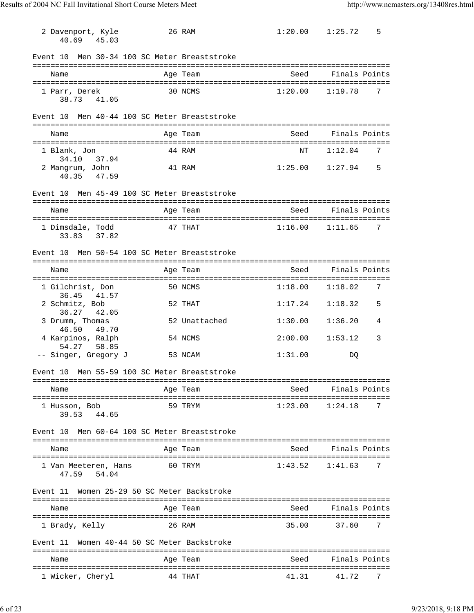| 2 Davenport, Kyle<br>40.69 45.03                    | 26 RAM        | 1:20.00             | 1:25.72<br>5       |
|-----------------------------------------------------|---------------|---------------------|--------------------|
| Men 30-34 100 SC Meter Breaststroke<br>Event 10     |               |                     |                    |
| Name                                                | Age Team      | Seed                | Finals Points      |
| 1 Parr, Derek<br>38.73 41.05                        | 30 NCMS       | 1:20.00             | 1:19.78<br>7       |
| Men 40-44 100 SC Meter Breaststroke<br>Event 10     |               |                     |                    |
| Name                                                | Age Team      |                     | Seed Finals Points |
| 1 Blank, Jon                                        | 44 RAM        | ΝT                  | 1:12.04<br>7       |
| 34.10<br>37.94<br>2 Mangrum, John<br>40.35<br>47.59 | 41 RAM        | 1:25.00             | 1:27.94<br>5       |
| Event 10 Men 45-49 100 SC Meter Breaststroke        |               |                     |                    |
| Name                                                | Age Team      | Seed                | Finals Points      |
| 1 Dimsdale, Todd<br>33.83 37.82                     | 47 THAT       | $1:16.00$ $1:11.65$ | 7                  |
| Men 50-54 100 SC Meter Breaststroke<br>Event 10     |               |                     |                    |
| Name                                                | Age Team      | Seed                | Finals Points      |
| 1 Gilchrist, Don                                    | 50 NCMS       | 1:18.00             | 7<br>1:18.02       |
| 36.45<br>41.57<br>2 Schmitz, Bob<br>36.27 42.05     | 52 THAT       | 1:17.24             | 5<br>1:18.32       |
| 3 Drumm, Thomas<br>46.50<br>49.70                   | 52 Unattached | 1:30.00             | 1:36.20<br>4       |
| 4 Karpinos, Ralph<br>54.27<br>58.85                 | 54 NCMS       | 2:00.00             | 3<br>1:53.12       |
| -- Singer, Gregory J                                | 53 NCAM       | 1:31.00             | DQ                 |
| Men 55-59 100 SC Meter Breaststroke<br>Event 10     |               |                     |                    |
| Name                                                | Age Team      | Seed                | Finals Points      |
| 1 Husson, Bob<br>44.65<br>39.53                     | 59 TRYM       | 1:23.00             | 1:24.18<br>7       |
| Men 60-64 100 SC Meter Breaststroke<br>Event 10     |               |                     |                    |
| Name                                                | Age Team      | Seed                | Finals Points      |
| l Van Meeteren, Hans<br>47.59<br>54.04              | 60 TRYM       | 1:43.52             | 1:41.63<br>7       |
| Women 25-29 50 SC Meter Backstroke<br>Event 11      |               |                     |                    |
| Name                                                | Age Team      | Seed                | Finals Points      |
| 1 Brady, Kelly                                      | 26 RAM        | 35.00               | 37.60<br>7         |
| Women 40-44 50 SC Meter Backstroke<br>Event 11      |               |                     |                    |
| Name                                                | Age Team      | Seed                | Finals Points      |
| 1 Wicker, Cheryl                                    | 44 THAT       | 41.31               | 41.72<br>7         |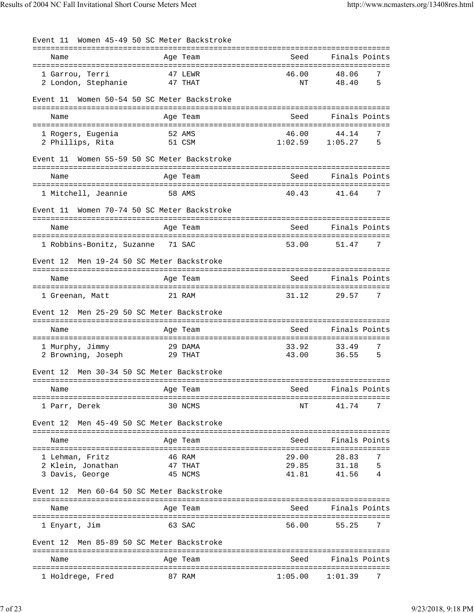| Event 11                                                | Women 45-49 50 SC Meter Backstroke |                           |                                        |
|---------------------------------------------------------|------------------------------------|---------------------------|----------------------------------------|
| Name                                                    | ==========<br>Age Team             | -----------------<br>Seed | Finals Points                          |
| 1 Garrou, Terri<br>2 London, Stephanie                  | 47 LEWR<br>47 THAT                 | 46.00<br>NΤ               | 48.06<br>7<br>5<br>48.40               |
| Event 11                                                | Women 50-54 50 SC Meter Backstroke |                           |                                        |
| Name                                                    | Age Team                           | Seed                      | Finals Points                          |
| 1 Rogers, Eugenia<br>2 Phillips, Rita                   | 52 AMS<br>51 CSM                   | 46.00                     | 7<br>44.14<br>$1:02.59$ $1:05.27$<br>5 |
| Event 11<br>======================================      | Women 55-59 50 SC Meter Backstroke |                           |                                        |
| Name                                                    | Age Team                           | Seed                      | Finals Points                          |
| 1 Mitchell, Jeannie                                     | 58 AMS                             | 40.43                     | 7<br>41.64                             |
| Event 11                                                | Women 70-74 50 SC Meter Backstroke |                           |                                        |
| Name                                                    | Age Team                           | Seed                      | Finals Points                          |
| 1 Robbins-Bonitz, Suzanne 71 SAC                        |                                    | 53.00                     | 7<br>51.47                             |
| Event 12                                                | Men 19-24 50 SC Meter Backstroke   |                           |                                        |
| =================================<br>Name               | Age Team                           | Seed                      | Finals Points                          |
| 1 Greenan, Matt                                         | 21 RAM                             | 31.12                     | 29.57<br>7                             |
| Event 12                                                | Men 25-29 50 SC Meter Backstroke   |                           |                                        |
| Name                                                    | Age Team                           | Seed                      | Finals Points                          |
| 1 Murphy, Jimmy<br>2 Browning, Joseph                   | 29 DAMA<br>29 THAT                 | 33.92<br>43.00            | 7<br>33.49<br>36.55<br>5               |
| Event 12                                                | Men 30-34 50 SC Meter Backstroke   |                           |                                        |
| Name                                                    | Age Team                           | Seed                      | -----------------<br>Finals Points     |
| =====================<br>1 Parr, Derek                  | 30 NCMS                            | ΝT                        | 41.74<br>7                             |
| Event 12                                                | Men 45-49 50 SC Meter Backstroke   |                           |                                        |
| Name                                                    | Age Team                           | Seed                      | Finals Points                          |
| 1 Lehman, Fritz<br>2 Klein, Jonathan<br>3 Davis, George | 46 RAM<br>47 THAT<br>45 NCMS       | 29.00<br>29.85<br>41.81   | 28.83<br>7<br>31.18<br>5<br>41.56<br>4 |
| Event 12                                                | Men 60-64 50 SC Meter Backstroke   |                           |                                        |
| Name                                                    | Age Team                           | Seed                      | Finals Points                          |
| 1 Enyart, Jim                                           | 63 SAC                             | 56.00                     | 7<br>55.25                             |
| Event 12                                                | Men 85-89 50 SC Meter Backstroke   |                           |                                        |
| Name                                                    | Age Team                           | Seed                      | Finals Points                          |
| 1 Holdrege, Fred                                        | 87 RAM                             | 1:05.00                   | 1:01.39<br>7                           |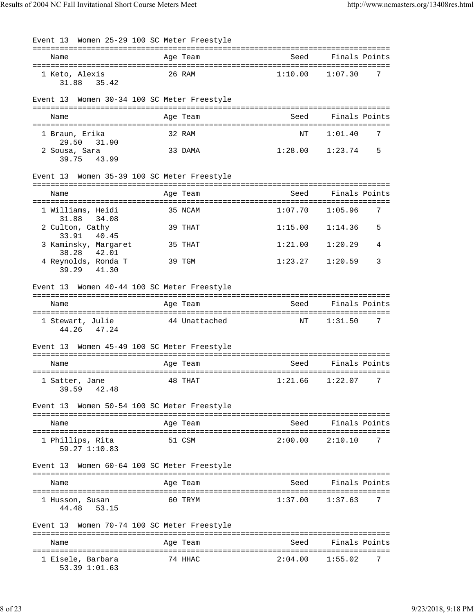| Event 13 Women 25-29 100 SC Meter Freestyle                            |                  |                               |                          |
|------------------------------------------------------------------------|------------------|-------------------------------|--------------------------|
| Name                                                                   | Age Team         | Seed                          | Finals Points            |
| 1 Keto, Alexis<br>31.88<br>35.42                                       | 26 RAM           | 1:10.00                       | 1:07.30<br>7             |
| Event 13 Women 30-34 100 SC Meter Freestyle                            |                  |                               |                          |
| Name                                                                   | Age Team         | Seed                          | Finals Points            |
| 1 Braun, Erika<br>29.50<br>31.90                                       | 32 RAM           | NT                            | 7<br>1:01.40             |
| 2 Sousa, Sara<br>39.75 43.99                                           | 33 DAMA          |                               | $1:28.00$ $1:23.74$<br>5 |
| Event 13 Women 35-39 100 SC Meter Freestyle                            |                  |                               |                          |
| Name                                                                   | Age Team         | Seed                          | Finals Points            |
| 1 Williams, Heidi<br>31.88<br>34.08                                    | 35 NCAM          | 1:07.70                       | 7<br>1:05.96             |
| 2 Culton, Cathy<br>40.45<br>33.91                                      | 39 THAT          | 1:15.00                       | 1:14.36<br>5             |
| 3 Kaminsky, Margaret<br>38.28<br>42.01                                 | 35 THAT          | 1:21.00                       | 1:20.29<br>4             |
| 4 Reynolds, Ronda T<br>39.29 41.30                                     | 39 TGM           | 1:23.27                       | 3<br>1:20.59             |
| Event 13 Women 40-44 100 SC Meter Freestyle                            |                  |                               |                          |
| Name                                                                   | Age Team         | Seed                          | Finals Points            |
| 1 Stewart, Julie<br>47.24<br>44.26                                     | 44 Unattached    | ΝT                            | 1:31.50<br>7             |
| Event 13 Women 45-49 100 SC Meter Freestyle                            |                  |                               |                          |
| Name                                                                   | Age Team         | Seed                          | Finals Points            |
| 1 Satter, Jane<br>42.48<br>39.59                                       | 48 THAT          | 1:21.66                       | 7<br>1:22.07             |
| Event 13 Women 50-54 100 SC Meter Freestyle<br>======================= | ================ | ============================= |                          |
| Name                                                                   | Age Team         | Seed                          | Finals Points            |
| 1 Phillips, Rita<br>59.27 1:10.83                                      | 51 CSM           | 2:00.00                       | 2:10.10<br>7             |
| Women 60-64 100 SC Meter Freestyle<br>Event 13                         |                  |                               |                          |
| Name                                                                   | Age Team         | Seed                          | Finals Points            |
| 1 Husson, Susan<br>53.15<br>44.48                                      | 60 TRYM          | 1:37.00                       | 1:37.63<br>7             |
| Event 13 Women 70-74 100 SC Meter Freestyle                            | =============    | ==============                |                          |
| Name                                                                   | Age Team         | Seed                          | Finals Points            |
| 1 Eisele, Barbara<br>53.39 1:01.63                                     | 74 HHAC          | 2:04.00                       | 1:55.02<br>7             |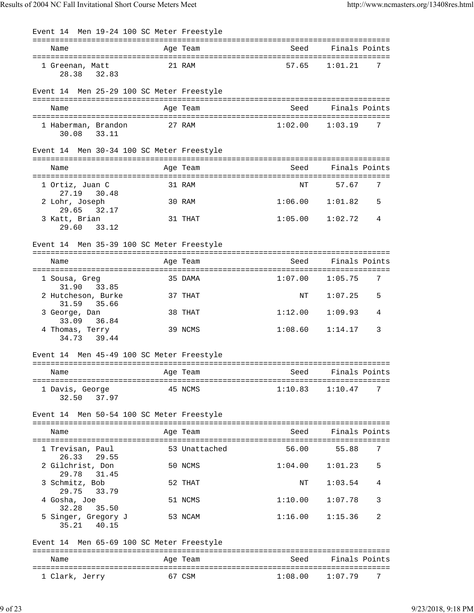| Event 14 Men 19-24 100 SC Meter Freestyle                |               |         |               |
|----------------------------------------------------------|---------------|---------|---------------|
| Name                                                     | Age Team      | Seed    | Finals Points |
| 1 Greenan, Matt<br>28.38<br>32.83                        | 21 RAM        | 57.65   | 7<br>1:01.21  |
| Event 14 Men 25-29 100 SC Meter Freestyle                |               |         |               |
| Name                                                     | Age Team      | Seed    | Finals Points |
| 1 Haberman, Brandon<br>33.11<br>30.08                    | 27 RAM        | 1:02.00 | 1:03.19<br>7  |
| Event 14 Men 30-34 100 SC Meter Freestyle                |               |         |               |
| Name                                                     | Age Team      | Seed    | Finals Points |
| 1 Ortiz, Juan C                                          | 31 RAM        | NΤ      | 57.67<br>7    |
| 27.19<br>30.48<br>2 Lohr, Joseph<br>29.65<br>32.17       | 30 RAM        | 1:06.00 | 1:01.82<br>5  |
| 3 Katt, Brian<br>29.60<br>33.12                          | 31 THAT       | 1:05.00 | 4<br>1:02.72  |
| Event 14 Men 35-39 100 SC Meter Freestyle                |               |         |               |
| Name                                                     | Age Team      | Seed    | Finals Points |
| =====================<br>1 Sousa, Greg<br>33.85<br>31.90 | 35 DAMA       | 1:07.00 | 7<br>1:05.75  |
| 2 Hutcheson, Burke<br>31.59<br>35.66                     | 37 THAT       | ΝT      | 1:07.25<br>5  |
| 3 George, Dan<br>33.09<br>36.84                          | 38 THAT       | 1:12.00 | 1:09.93<br>4  |
| 4 Thomas, Terry<br>34.73<br>39.44                        | 39 NCMS       | 1:08.60 | 1:14.17<br>3  |
| Event 14 Men 45-49 100 SC Meter Freestyle                |               |         |               |
| Name                                                     | Age Team      | Seed    | Finals Points |
| 1 Davis, George<br>37.97<br>32.50                        | 45 NCMS       | 1:10.83 | 1:10.47<br>7  |
| Event 14 Men 50-54 100 SC Meter Freestyle                |               |         |               |
| Name                                                     | Age Team      | Seed    | Finals Points |
| 1 Trevisan, Paul<br>26.33<br>29.55                       | 53 Unattached | 56.00   | 55.88<br>7    |
| 2 Gilchrist, Don<br>31.45<br>29.78                       | 50 NCMS       | 1:04.00 | 1:01.23<br>5  |
| 3 Schmitz, Bob<br>29.75<br>33.79                         | 52 THAT       | ΝT      | 1:03.54<br>4  |
| 4 Gosha, Joe<br>32.28<br>35.50                           | 51 NCMS       | 1:10.00 | 1:07.78<br>3  |
| 5 Singer, Gregory J<br>40.15<br>35.21                    | 53 NCAM       | 1:16.00 | 1:15.36<br>2  |
| Event 14 Men 65-69 100 SC Meter Freestyle                |               |         |               |
| Name                                                     | Age Team      | Seed    | Finals Points |
| 1 Clark, Jerry                                           | 67 CSM        | 1:08.00 | 7<br>1:07.79  |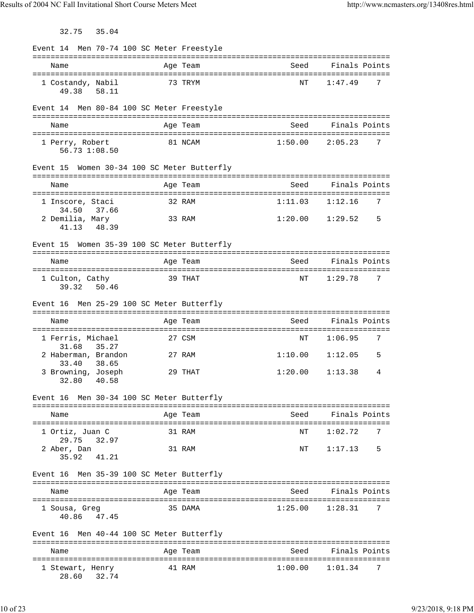32.75 35.04

| Event 14 Men 70-74 100 SC Meter Freestyle              |                                  |                         |                                    |                                   |   |
|--------------------------------------------------------|----------------------------------|-------------------------|------------------------------------|-----------------------------------|---|
| Name                                                   |                                  | Age Team                | Seed                               | Finals Points                     |   |
| 1 Costandy, Nabil<br>49.38 58.11                       |                                  | 73 TRYM                 | NΤ                                 | 1:47.49                           | 7 |
| Event 14 Men 80-84 100 SC Meter Freestyle              |                                  |                         |                                    |                                   |   |
| Name                                                   |                                  | Age Team                | Seed                               | Finals Points                     |   |
| 1 Perry, Robert<br>56.73 1:08.50                       |                                  | 81 NCAM                 | 1:50.00                            | 2:05.23                           | 7 |
| Women 30-34 100 SC Meter Butterfly<br>Event 15         |                                  |                         |                                    |                                   |   |
| Name                                                   |                                  | Age Team                | Seed                               | Finals Points                     |   |
| 1 Inscore, Staci<br>34.50<br>37.66                     |                                  | 32 RAM                  | 1:11.03                            | 1:12.16                           | 7 |
| 2 Demilia, Mary<br>48.39<br>41.13                      |                                  | 33 RAM                  |                                    | $1:20.00$ $1:29.52$               | 5 |
| Event 15 Women 35-39 100 SC Meter Butterfly            |                                  |                         |                                    |                                   |   |
| Name                                                   |                                  | Age Team                | Seed                               | Finals Points                     |   |
| 1 Culton, Cathy<br>39.32<br>50.46                      |                                  | 39 THAT                 | ΝT                                 | 1:29.78                           | 7 |
| Event 16                                               | Men 25-29 100 SC Meter Butterfly |                         |                                    |                                   |   |
|                                                        |                                  |                         |                                    |                                   |   |
| Name                                                   |                                  | Age Team                | ========================<br>Seed   | Finals Points                     |   |
| 1 Ferris, Michael                                      |                                  | =============<br>27 CSM | ============================<br>ΝT | 1:06.95                           | 7 |
| 31.68<br>35.27<br>2 Haberman, Brandon                  |                                  | 27 RAM                  | 1:10.00                            | 1:12.05                           | 5 |
| 33.40<br>38.65<br>3 Browning, Joseph<br>40.58<br>32.80 |                                  | 29 THAT                 | 1:20.00                            | 1:13.38                           | 4 |
| Event 16 Men 30-34 100 SC Meter Butterfly              |                                  |                         |                                    |                                   |   |
| Name                                                   |                                  | Age Team                | Seed                               | Finals Points                     |   |
| 1 Ortiz, Juan C                                        |                                  | 31 RAM                  | NΤ                                 | 1:02.72                           | 7 |
| 32.97<br>29.75<br>2 Aber, Dan<br>35.92<br>41.21        |                                  | 31 RAM                  | NT                                 | 1:17.13                           | 5 |
| Event 16 Men 35-39 100 SC Meter Butterfly              |                                  |                         |                                    |                                   |   |
| Name                                                   |                                  | Age Team                | Seed                               | Finals Points                     |   |
| 1 Sousa, Greg<br>40.86 47.45                           |                                  | 35 DAMA                 | 1:25.00                            | 1:28.31                           | 7 |
| Men 40-44 100 SC Meter Butterfly<br>Event 16           |                                  |                         |                                    |                                   |   |
| Name                                                   |                                  | Age Team                | Seed                               | Finals Points<br>================ |   |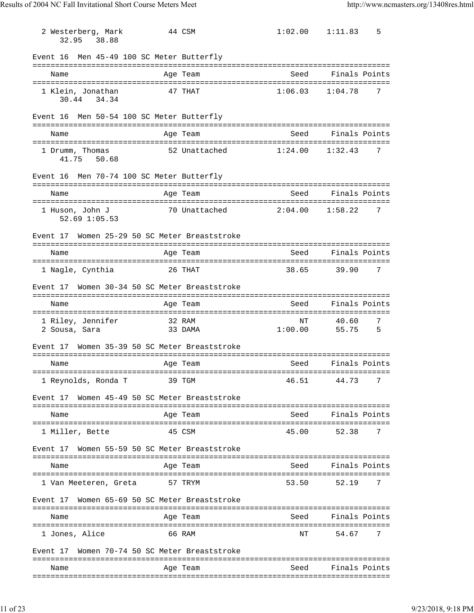| 2 Westerberg, Mark<br>38.88<br>32.95      | 44 CSM                               | 1:02.00       | 1:11.83<br>5             |
|-------------------------------------------|--------------------------------------|---------------|--------------------------|
| Event 16                                  | Men 45-49 100 SC Meter Butterfly     |               |                          |
| Name                                      | Age Team                             | Seed          | Finals Points            |
| 1 Klein, Jonathan<br>30.44 34.34          | 47 THAT                              | 1:06.03       | 7<br>1:04.78             |
| Event 16 Men 50-54 100 SC Meter Butterfly |                                      |               |                          |
| Name                                      | Age Team                             | Seed          | Finals Points            |
| 1 Drumm, Thomas<br>41.75 50.68            | 52 Unattached                        | 1:24.00       | 1:32.43<br>7             |
| Event 16 Men 70-74 100 SC Meter Butterfly |                                      |               |                          |
| Name                                      | Age Team                             | Seed          | Finals Points            |
| 1 Huson, John J<br>$52.69$ $1:05.53$      | 70 Unattached                        | 2:04.00       | 7<br>1:58.22             |
| Event 17                                  | Women 25-29 50 SC Meter Breaststroke |               |                          |
| Name                                      | Age Team                             | Seed          | Finals Points            |
| 1 Nagle, Cynthia                          | 26 THAT                              | 38.65         | 39.90<br>7               |
| Event 17                                  | Women 30-34 50 SC Meter Breaststroke |               |                          |
| Name                                      | Age Team                             | Seed          | Finals Points            |
| 1 Riley, Jennifer<br>2 Sousa, Sara        | 32 RAM<br>33 DAMA                    | NΤ<br>1:00.00 | 40.60<br>7<br>55.75<br>5 |
| Event 17                                  | Women 35-39 50 SC Meter Breaststroke |               |                          |
| Name                                      | Age Team                             | Seed          | Finals Points            |
| 1 Reynolds, Ronda T                       | 39 TGM                               | 46.51         | 44.73<br>7               |
| Event 17                                  | Women 45-49 50 SC Meter Breaststroke |               |                          |
| Name                                      | Age Team                             | Seed          | Finals Points            |
| 1 Miller, Bette                           | 45 CSM                               | 45.00         | 7<br>52.38               |
| Event 17                                  | Women 55-59 50 SC Meter Breaststroke |               |                          |
| Name                                      | Age Team                             | Seed          | Finals Points            |
| l Van Meeteren, Greta                     | 57 TRYM                              | 53.50         | 52.19<br>7               |
| Event 17                                  | Women 65-69 50 SC Meter Breaststroke |               |                          |
| Name                                      | Age Team                             | Seed          | Finals Points            |
| 1 Jones, Alice                            | 66 RAM                               | NΤ            | 7<br>54.67               |
| Event 17                                  | Women 70-74 50 SC Meter Breaststroke |               |                          |
| Name                                      | Age Team                             | Seed          | Finals Points            |
|                                           |                                      |               |                          |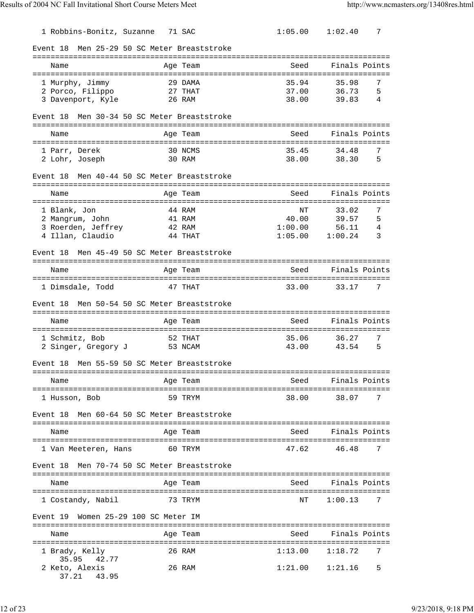| 1 Robbins-Bonitz, Suzanne                          | 71 SAC                             | 1:05.00                                      | 1:02.40        | 7      |
|----------------------------------------------------|------------------------------------|----------------------------------------------|----------------|--------|
| Event 18                                           | Men 25-29 50 SC Meter Breaststroke |                                              |                |        |
| Name                                               | Age Team                           | ====================================<br>Seed | Finals Points  |        |
|                                                    |                                    | ==============================               |                |        |
| 1 Murphy, Jimmy                                    | 29 DAMA                            | 35.94                                        | 35.98          | 7<br>5 |
| 2 Porco, Filippo<br>3 Davenport, Kyle              | 27 THAT<br>26 RAM                  | 37.00<br>38.00                               | 36.73<br>39.83 | 4      |
|                                                    |                                    |                                              |                |        |
| Event 18                                           | Men 30-34 50 SC Meter Breaststroke |                                              |                |        |
| Name                                               | Age Team                           | Seed                                         | Finals Points  |        |
| 1 Parr, Derek                                      | 30 NCMS                            | 35.45                                        | 34.48          | 7      |
| 2 Lohr, Joseph                                     | 30 RAM                             | 38.00                                        | 38.30          | 5      |
| Event 18<br>====================================== | Men 40-44 50 SC Meter Breaststroke |                                              |                |        |
| Name                                               | Age Team                           | Seed                                         | Finals Points  |        |
| =====================                              | ===================                | ================================             |                |        |
| 1 Blank, Jon                                       | 44 RAM                             | NΤ                                           | 33.02          | 7      |
| 2 Mangrum, John<br>3 Roerden, Jeffrey              | 41 RAM<br>42 RAM                   | 40.00<br>1:00.00                             | 39.57<br>56.11 | 5<br>4 |
| 4 Illan, Claudio                                   | 44 THAT                            | 1:05.00                                      | 1:00.24        | 3      |
| Event 18                                           | Men 45-49 50 SC Meter Breaststroke |                                              |                |        |
| Name                                               | Age Team                           | Seed                                         | Finals Points  |        |
| ======================================             |                                    | ===============================              |                |        |
| 1 Dimsdale, Todd                                   | 47 THAT                            | 33.00                                        | 33.17          | 7      |
| Event 18                                           | Men 50-54 50 SC Meter Breaststroke |                                              |                |        |
| Name                                               | Age Team                           | Seed                                         | Finals Points  |        |
| 1 Schmitz, Bob                                     | 52 THAT                            | 35.06                                        | 36.27          | 7      |
| 2 Singer, Gregory J                                | 53 NCAM                            | 43.00                                        | 43.54          | 5      |
| Event 18                                           | Men 55-59 50 SC Meter Breaststroke |                                              |                |        |
| Name                                               | =================<br>Age Team      | Seed                                         | Finals Points  |        |
| 1 Husson, Bob                                      | 59 TRYM                            | 38.00                                        | 38.07          | 7      |
| Event 18                                           | Men 60-64 50 SC Meter Breaststroke |                                              |                |        |
| Name                                               | Age Team                           | Seed                                         | Finals Points  |        |
|                                                    |                                    |                                              |                |        |
| 1 Van Meeteren, Hans                               | 60 TRYM                            | 47.62                                        | 46.48          | 7      |
| Event 18                                           | Men 70-74 50 SC Meter Breaststroke |                                              |                |        |
| Name                                               | Age Team                           | Seed                                         | Finals Points  |        |
| 1 Costandy, Nabil                                  | 73 TRYM                            | NΤ                                           | 1:00.13        | 7      |
| Event 19                                           | Women 25-29 100 SC Meter IM        |                                              |                |        |
| Name                                               | Age Team                           | Seed                                         | Finals Points  |        |
|                                                    |                                    |                                              |                |        |
| 1 Brady, Kelly<br>35.95<br>42.77                   | 26 RAM                             | 1:13.00                                      | 1:18.72        | 7      |
| 2 Keto, Alexis<br>37.21<br>43.95                   | 26 RAM                             | 1:21.00                                      | 1:21.16        | 5      |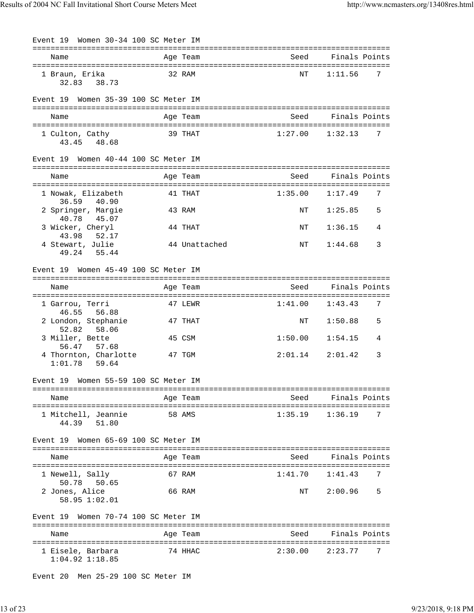| Event 19 Women 30-34 100 SC Meter IM     |               |                     |               |
|------------------------------------------|---------------|---------------------|---------------|
| Name                                     | Age Team      | Seed                | Finals Points |
| 1 Braun, Erika<br>32.83 38.73            | 32 RAM        | NΤ                  | 7<br>1:11.56  |
| Event 19 Women 35-39 100 SC Meter IM     |               |                     |               |
| Name                                     | Age Team      | Seed                | Finals Points |
| 1 Culton, Cathy<br>48.68<br>43.45        | 39 THAT       | $1:27.00$ $1:32.13$ | 7             |
| Event 19 Women 40-44 100 SC Meter IM     |               |                     |               |
| Name                                     | Age Team      | Seed                | Finals Points |
| 1 Nowak, Elizabeth<br>36.59<br>40.90     | 41 THAT       | 1:35.00             | 1:17.49<br>7  |
| 2 Springer, Margie<br>40.78<br>45.07     | 43 RAM        | NΤ                  | 5<br>1:25.85  |
| 3 Wicker, Cheryl<br>43.98<br>52.17       | 44 THAT       | ΝT                  | 1:36.15<br>4  |
| 4 Stewart, Julie<br>49.24 55.44          | 44 Unattached | ΝT                  | 1:44.68<br>3  |
| Event 19 Women 45-49 100 SC Meter IM     |               |                     |               |
| Name                                     | Age Team      | Seed                | Finals Points |
| 1 Garrou, Terri<br>46.55 56.88           | 47 LEWR       | 1:41.00             | 1:43.43<br>7  |
| 2 London, Stephanie<br>52.82<br>58.06    | 47 THAT       | ΝT                  | 1:50.88<br>5  |
| 3 Miller, Bette<br>56.47<br>57.68        | 45 CSM        | 1:50.00             | 1:54.15<br>4  |
| 4 Thornton, Charlotte<br>$1:01.78$ 59.64 | 47 TGM        | 2:01.14             | 2:01.42<br>3  |
| Event 19 Women 55-59 100 SC Meter IM     |               |                     |               |
| Name                                     | Age Team      | Seed                | Finals Points |
| 1 Mitchell, Jeannie<br>44.39<br>51.80    | 58 AMS        | 1:35.19             | 1:36.19<br>7  |
| Event 19 Women 65-69 100 SC Meter IM     |               |                     |               |
| Name                                     | Age Team      | Seed                | Finals Points |
| 1 Newell, Sally<br>50.78<br>50.65        | 67 RAM        | 1:41.70             | 1:41.43<br>7  |
| 2 Jones, Alice<br>58.95 1:02.01          | 66 RAM        | NT                  | 2:00.96<br>5  |
| Women 70-74 100 SC Meter IM<br>Event 19  |               |                     |               |
| Name                                     | Age Team      | Seed                | Finals Points |
| 1 Eisele, Barbara<br>$1:04.92$ $1:18.85$ | 74 HHAC       | 2:30.00             | 2:23.77<br>7  |

Event 20 Men 25-29 100 SC Meter IM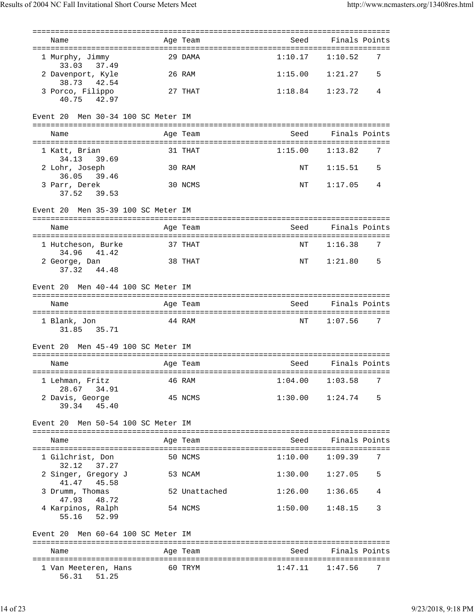| Name                                   |        | Age Team      | Seed    | Finals Points            |
|----------------------------------------|--------|---------------|---------|--------------------------|
| 1 Murphy, Jimmy<br>37.49<br>33.03      |        | 29 DAMA       | 1:10.17 | 1:10.52<br>7             |
| 2 Davenport, Kyle<br>38.73<br>42.54    |        | 26 RAM        | 1:15.00 | 1:21.27<br>5             |
| 3 Porco, Filippo<br>40.75 42.97        |        | 27 THAT       | 1:18.84 | 1:23.72<br>4             |
| Men 30-34 100 SC Meter IM<br>Event 20  |        |               |         |                          |
| Name                                   |        | Age Team      | Seed    | Finals Points            |
| 1 Katt, Brian<br>39.69<br>34.13        |        | 31 THAT       |         | $1:15.00$ $1:13.82$<br>7 |
| 2 Lohr, Joseph<br>36.05<br>39.46       |        | 30 RAM        | ΝT      | 1:15.51<br>5             |
| 3 Parr, Derek<br>37.52<br>39.53        |        | 30 NCMS       | NΤ      | 1:17.05<br>4             |
| Men 35-39 100 SC Meter IM<br>Event 20  |        |               |         |                          |
| Name                                   |        | Age Team      | Seed    | Finals Points            |
| 1 Hutcheson, Burke<br>34.96 41.42      |        | 37 THAT       | NΤ      | 7<br>1:16.38             |
| 2 George, Dan<br>37.32<br>44.48        |        | 38 THAT       | ΝT      | 1:21.80<br>5             |
| Event 20 Men 40-44 100 SC Meter IM     |        |               |         |                          |
| Name                                   |        | Age Team      | Seed    | Finals Points            |
| 1 Blank, Jon<br>31.85 35.71            | 44 RAM |               | NΤ      | 1:07.56<br>7             |
| Event 20 Men 45-49 100 SC Meter IM     |        |               |         |                          |
| Name                                   |        | Age Team      | Seed    | Finals Points            |
| 1 Lehman, Fritz<br>28.67<br>34.91      |        | 46 RAM        | 1:04.00 | 1:03.58<br>7             |
| 2 Davis, George<br>39.34<br>45.40      |        | 45 NCMS       | 1:30.00 | 5<br>1:24.74             |
| Men 50-54 100 SC Meter IM<br>Event 20  |        |               |         |                          |
| Name                                   |        | Age Team      | Seed    | Finals Points            |
| 1 Gilchrist, Don<br>32.12<br>37.27     |        | 50 NCMS       | 1:10.00 | 7<br>1:09.39             |
| 2 Singer, Gregory J<br>45.58<br>41.47  |        | 53 NCAM       | 1:30.00 | 5<br>1:27.05             |
| 3 Drumm, Thomas<br>47.93<br>48.72      |        | 52 Unattached | 1:26.00 | 1:36.65<br>4             |
| 4 Karpinos, Ralph<br>52.99<br>55.16    |        | 54 NCMS       | 1:50.00 | 3<br>1:48.15             |
| Men 60-64 100 SC Meter IM<br>Event 20  |        |               |         |                          |
| Name                                   |        | Age Team      | Seed    | Finals Points            |
| 1 Van Meeteren, Hans<br>56.31<br>51.25 |        | 60 TRYM       | 1:47.11 | 1:47.56<br>7             |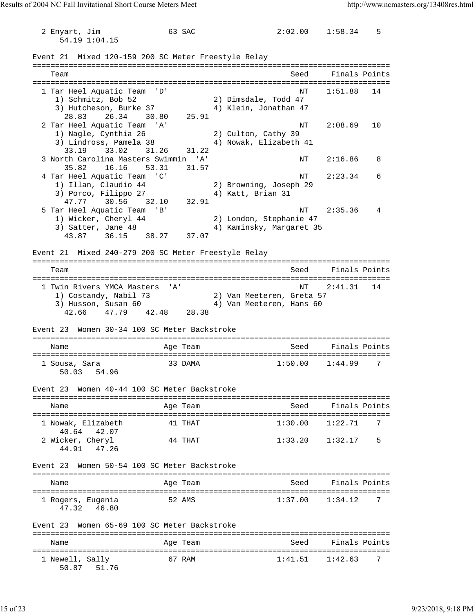2 Enyart, Jim 63 SAC 2:02.00 1:58.34 5 54.19 1:04.15 Event 21 Mixed 120-159 200 SC Meter Freestyle Relay =============================================================================== Team Seed Finals Points =============================================================================== 1 Tar Heel Aquatic Team 'D' NT 1:51.88 14 1) Schmitz, Bob 52 2) Dimsdale, Todd 47 3) Hutcheson, Burke 37 4) Klein, Jonathan 47 28.83 26.34 30.80 25.91 2 Tar Heel Aquatic Team 'A' NT 2:08.69 10 1) Nagle, Cynthia 26 2) Culton, Cathy 39 3) Lindross, Pamela 38 4) Nowak, Elizabeth 41 33.19 33.02 31.26 31.22 3 North Carolina Masters Swimmin 'A' NT 2:16.86 8 35.82 16.16 53.31 31.57 4 Tar Heel Aquatic Team 'C' NT 2:23.34 6 1) Illan, Claudio 44 2) Browning, Joseph 29 3) Porco, Filippo 27 (4) Katt, Brian 31 47.77 30.56 32.10 32.91 5 Tar Heel Aquatic Team 'B' 1999 10:35.36 4 1) Wicker, Cheryl 44 2) London, Stephanie 47 3) Satter, Jane 48 4) Kaminsky, Margaret 35 43.87 36.15 38.27 37.07 Event 21 Mixed 240-279 200 SC Meter Freestyle Relay =============================================================================== Team Seed Finals Points =============================================================================== 1 Twin Rivers YMCA Masters 'A' 1) Costandy, Nabil 73 2) Van Meeteren, Greta 57 3) Husson, Susan 60 4) Van Meeteren, Hans 60 42.66 47.79 42.48 28.38 Event 23 Women 30-34 100 SC Meter Backstroke =============================================================================== Name and Age Team Seed Finals Points =============================================================================== 1 Sousa, Sara 33 DAMA 1:50.00 1:44.99 7 50.03 54.96 Event 23 Women 40-44 100 SC Meter Backstroke =============================================================================== Name and Age Team Seed Finals Points =============================================================================== 1 Nowak, Elizabeth 41 THAT 1:30.00 1:22.71 7 1 Nowak, E11zapold<br>40.64 42.07<br>2 Wicker, Cheryl 44 THAT 1:33.20 1:32.17 5 44.91 47.26 Event 23 Women 50-54 100 SC Meter Backstroke =============================================================================== Name Age Team Seed Finals Points =============================================================================== 1 Rogers, Eugenia 52 AMS 1:37.00 1:34.12 7 47.32 46.80 Event 23 Women 65-69 100 SC Meter Backstroke =============================================================================== Name and Age Team Seed Finals Points =============================================================================== 1 Newell, Sally 67 RAM 1:41.51 1:42.63 7

```
 50.87 51.76
```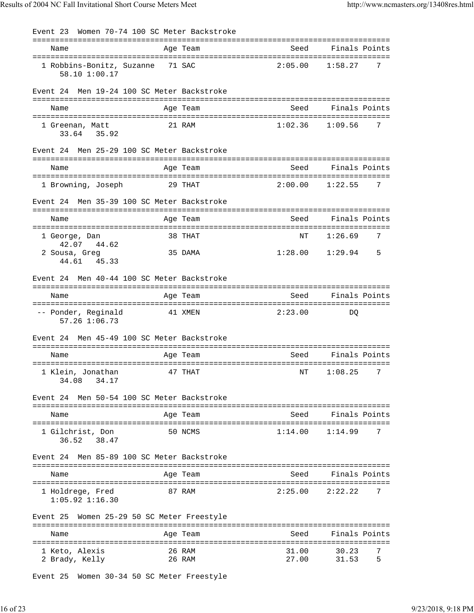| Women 70-74 100 SC Meter Backstroke<br>Event 23            |                       |                                  |                          |
|------------------------------------------------------------|-----------------------|----------------------------------|--------------------------|
| Name                                                       | Age Team              | Seed                             | Finals Points            |
| 1 Robbins-Bonitz, Suzanne<br>58.10 1:00.17                 | 71 SAC                | 2:05.00                          | 7<br>1:58.27             |
| Men 19-24 100 SC Meter Backstroke<br>Event 24              |                       |                                  |                          |
| Name                                                       | Age Team              | Seed                             | Finals Points            |
| 1 Greenan, Matt<br>35.92<br>33.64                          | 21 RAM                | 1:02.36                          | 1:09.56<br>7             |
| Men 25-29 100 SC Meter Backstroke<br>Event 24              |                       |                                  |                          |
| Name                                                       | Age Team              | Seed                             | Finals Points            |
| 1 Browning, Joseph                                         | 29 THAT               | 2:00.00                          | 1:22.55<br>7             |
| Men 35-39 100 SC Meter Backstroke<br>Event 24              |                       |                                  |                          |
| Name                                                       | Age Team              | Seed                             | Finals Points            |
| 1 George, Dan                                              | 38 THAT               | NT                               | 7<br>1:26.69             |
| 42.07<br>44.62<br>2 Sousa, Greg<br>45.33<br>44.61          | 35 DAMA               | 1:28.00                          | 1:29.94<br>5             |
| Event 24 Men 40-44 100 SC Meter Backstroke                 |                       |                                  |                          |
| Name                                                       | Age Team              | Seed                             | Finals Points            |
| -- Ponder, Reginald<br>57.26 1:06.73                       | 41 XMEN               | 2:23.00                          | DO                       |
| Men 45-49 100 SC Meter Backstroke<br>Event 24              |                       |                                  |                          |
| Name                                                       | Age Team              | ========================<br>Seed | Finals Points            |
| ===================<br>1 Klein, Jonathan<br>34.17<br>34.08 | ==========<br>47 THAT | NΤ                               | 7<br>1:08.25             |
| Event 24 Men 50-54 100 SC Meter Backstroke                 |                       |                                  |                          |
| Name                                                       | Age Team              | Seed                             | Finals Points            |
| 1 Gilchrist, Don<br>38.47<br>36.52                         | 50 NCMS               | 1:14.00                          | 1:14.99<br>7             |
| Men 85-89 100 SC Meter Backstroke<br>Event 24              |                       |                                  |                          |
| Name                                                       | Age Team              | Seed                             | Finals Points            |
| 1 Holdrege, Fred<br>$1:05.92$ $1:16.30$                    | 87 RAM                | 2:25.00                          | 2:22.22<br>7             |
| Event 25 Women 25-29 50 SC Meter Freestyle                 |                       |                                  |                          |
| Name                                                       | Age Team              | Seed                             | Finals Points            |
| 1 Keto, Alexis<br>2 Brady, Kelly                           | 26 RAM<br>26 RAM      | 31.00<br>27.00                   | 7<br>30.23<br>31.53<br>5 |

Event 25 Women 30-34 50 SC Meter Freestyle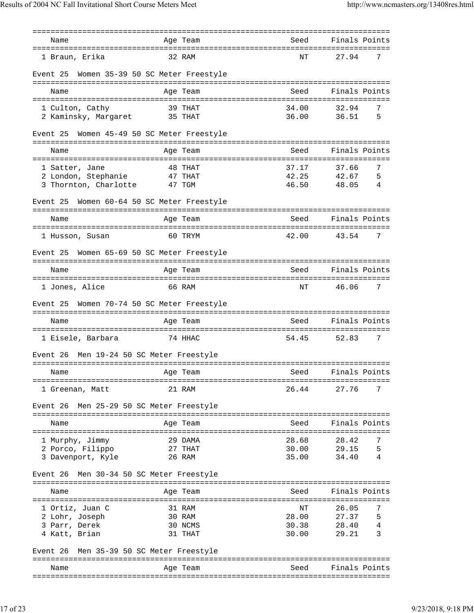| Name                                        | Age Team                          | Seed             | Finals Points                  |
|---------------------------------------------|-----------------------------------|------------------|--------------------------------|
| 1 Braun, Erika                              | 32 RAM                            | ΝT               | 7<br>27.94                     |
| Event 25                                    | Women 35-39 50 SC Meter Freestyle |                  |                                |
| Name                                        | Age Team                          | Seed             | Finals Points                  |
| 1 Culton, Cathy                             | 39 THAT                           | 34.00            | 32.94<br>7                     |
| 2 Kaminsky, Margaret 35 THAT                |                                   | 36.00            | 36.51<br>5                     |
| Event 25                                    | Women 45-49 50 SC Meter Freestyle |                  |                                |
| Name                                        | Age Team                          | Seed             | Finals Points                  |
| 1 Satter, Jane                              | 48 THAT                           | 37.17            | 37.66<br>7                     |
| 2 London, Stephanie                         | 47 THAT                           | 42.25            | 42.67<br>5                     |
| 3 Thornton, Charlotte                       | 47 TGM                            | 46.50            | 48.05<br>4                     |
| Event 25                                    | Women 60-64 50 SC Meter Freestyle |                  |                                |
| Name                                        | Age Team                          | Seed             | Finals Points                  |
|                                             |                                   |                  |                                |
| 1 Husson, Susan                             | 60 TRYM                           | 42.00            | 7<br>43.54                     |
| Event 25                                    | Women 65-69 50 SC Meter Freestyle |                  |                                |
| Name                                        | Age Team                          | Seed             | Finals Points                  |
| 1 Jones, Alice                              | 66 RAM                            | ΝT               | 46.06<br>7                     |
| Event 25                                    | Women 70-74 50 SC Meter Freestyle |                  |                                |
| Name                                        | Age Team                          | Seed             | Finals Points                  |
|                                             |                                   |                  |                                |
| 1 Eisele, Barbara                           | 74 HHAC                           | 54.45            | 7<br>52.83                     |
| Event 26                                    | Men 19-24 50 SC Meter Freestyle   |                  |                                |
|                                             |                                   |                  | Finals Points                  |
| Name                                        | Age Team                          | <u>seed Seed</u> |                                |
| 1 Greenan, Matt                             | 21 RAM                            | 26.44            | 27.76<br>7                     |
| Event 26 Men 25-29 50 SC Meter Freestyle    |                                   |                  |                                |
| Name                                        | Age Team                          | Seed             | Finals Points                  |
|                                             |                                   |                  |                                |
| 1 Murphy, Jimmy                             | 29 DAMA                           | 28.68            | 28.42<br>7<br>29.15            |
| 2 Porco, Filippo<br>3 Davenport, Kyle       | 27 THAT<br>26 RAM                 | 30.00<br>35.00   | 5<br>34.40<br>4                |
|                                             |                                   |                  |                                |
| Event 26                                    | Men 30-34 50 SC Meter Freestyle   |                  |                                |
| Name                                        | Age Team                          | Seed             | Finals Points                  |
|                                             |                                   |                  |                                |
| 1 Ortiz, Juan C<br>2 Lohr, Joseph           | 31 RAM<br>30 RAM                  | NΤ               | 7<br>26.05<br>28.00 27.37<br>5 |
| 3 Parr, Derek                               | 30 NCMS                           |                  | 30.38 28.40<br>4               |
| 4 Katt, Brian                               | 31 THAT                           | 30.00            | 3<br>29.21                     |
| Men 35-39 50 SC Meter Freestyle<br>Event 26 |                                   |                  |                                |
|                                             |                                   |                  |                                |
| Name                                        | Age Team                          | Seed             | Finals Points                  |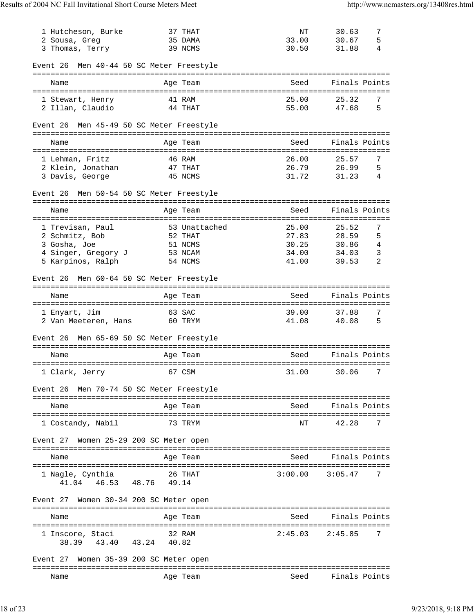| 1 Hutcheson, Burke                          | 37 THAT                         | NΤ                            | 30.63<br>7    |
|---------------------------------------------|---------------------------------|-------------------------------|---------------|
| 2 Sousa, Greg                               | 35 DAMA                         | 33.00                         | 5<br>30.67    |
| 3 Thomas, Terry                             | 39 NCMS                         | 30.50                         | 31.88<br>4    |
| Event 26 Men 40-44 50 SC Meter Freestyle    |                                 |                               |               |
| Name                                        | Age Team                        | Seed                          | Finals Points |
| 1 Stewart, Henry                            | 41 RAM                          | 25.00                         | 25.32<br>7    |
| 2 Illan, Claudio                            | 44 THAT                         | 55.00                         | 5<br>47.68    |
| Event 26                                    | Men 45-49 50 SC Meter Freestyle |                               |               |
| Name                                        | Age Team                        | Seed                          | Finals Points |
| 1 Lehman, Fritz                             | 46 RAM                          | 26.00                         | 7<br>25.57    |
| 2 Klein, Jonathan                           | 47 THAT                         | 26.79                         | 26.99<br>5    |
| 3 Davis, George                             | 45 NCMS                         | 31.72                         | 31.23<br>4    |
| Event 26                                    | Men 50-54 50 SC Meter Freestyle |                               |               |
| Name                                        | Age Team                        | Seed                          | Finals Points |
| 1 Trevisan, Paul                            | 53 Unattached                   | 25.00                         | 7<br>25.52    |
| 2 Schmitz, Bob                              | 52 THAT                         | 27.83                         | 28.59<br>5    |
| 3 Gosha, Joe                                | 51 NCMS                         | 30.25                         | 4<br>30.86    |
| 4 Singer, Gregory J                         | 53 NCAM                         | 34.00                         | 3<br>34.03    |
| 5 Karpinos, Ralph                           | 54 NCMS                         | 41.00                         | 2<br>39.53    |
| Event 26 Men 60-64 50 SC Meter Freestyle    |                                 |                               |               |
| Name                                        | Age Team                        | Seed                          | Finals Points |
|                                             |                                 |                               |               |
| 1 Enyart, Jim                               | 63 SAC                          | 39.00                         | 37.88<br>7    |
| 2 Van Meeteren, Hans                        | 60 TRYM                         | 41.08                         | 5<br>40.08    |
| Event 26                                    | Men 65-69 50 SC Meter Freestyle |                               |               |
| Name                                        | Age Team                        | Seed                          | Finals Points |
|                                             | =================               | ============================= |               |
| 1 Clark, Jerry                              | 67 CSM                          | 31.00                         | 7<br>30.06    |
| Event 26 Men 70-74 50 SC Meter Freestyle    |                                 |                               |               |
| Name                                        | Age Team                        | Seed                          | Finals Points |
| 1 Costandy, Nabil                           | 73 TRYM                         | NΤ                            | 42.28<br>7    |
| Event 27                                    | Women 25-29 200 SC Meter open   |                               |               |
| Name                                        | Age Team                        | Seed                          | Finals Points |
| 1 Nagle, Cynthia                            | 26 THAT                         | 3:00.00                       | 3:05.47<br>7  |
| 41.04 46.53 48.76                           | 49.14                           |                               |               |
| Event 27 Women 30-34 200 SC Meter open      |                                 |                               |               |
| Name                                        | Age Team                        | Seed                          | Finals Points |
|                                             |                                 |                               |               |
| 1 Inscore, Staci<br>38.39 43.40 43.24 40.82 | 32 RAM                          | 2:45.03                       | 2:45.85<br>7  |
| Event 27                                    | Women 35-39 200 SC Meter open   |                               |               |
| Name                                        | Age Team                        | Seed                          | Finals Points |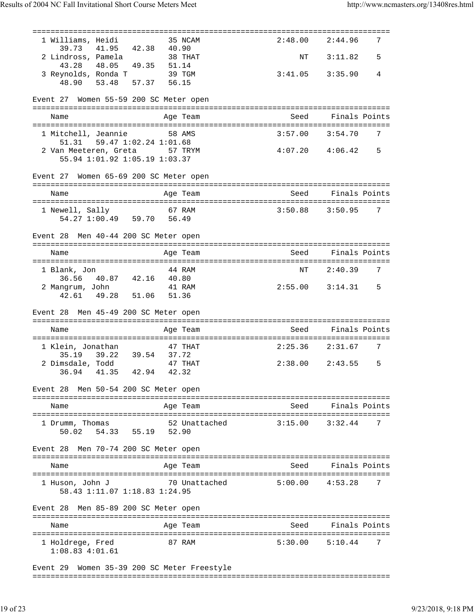|                                                                                  |        |               | ==================================== |                     |   |
|----------------------------------------------------------------------------------|--------|---------------|--------------------------------------|---------------------|---|
| 1 Williams, Heidi<br>39.73 41.95 42.38 40.90                                     |        | 35 NCAM       | 2:48.00                              | 2:44.96             | 7 |
| 2 Lindross, Pamela                                                               |        | 38 THAT       | NT                                   | 3:11.82             | 5 |
| 43.28 48.05 49.35 51.14<br>3 Reynolds, Ronda T 39 TGM<br>48.90 53.48 57.37 56.15 |        |               | $3:41.05$ $3:35.90$                  |                     | 4 |
|                                                                                  |        |               |                                      |                     |   |
| Event 27 Women 55-59 200 SC Meter open                                           |        |               |                                      |                     |   |
|                                                                                  |        |               |                                      |                     |   |
| Name                                                                             |        | Age Team      | Seed                                 | Finals Points       |   |
| 1 Mitchell, Jeannie<br>58 AMS                                                    |        |               | $3:57.00$ $3:54.70$                  |                     | 7 |
| 51.31   59.47   1:02.24   1:01.68                                                |        |               |                                      |                     |   |
| 2 Van Meeteren, Greta 57 TRYM<br>55.94 1:01.92 1:05.19 1:03.37                   |        |               |                                      | $4:07.20$ $4:06.42$ | 5 |
|                                                                                  |        |               |                                      |                     |   |
| Event 27 Women 65-69 200 SC Meter open                                           |        |               |                                      |                     |   |
| Name                                                                             |        | Age Team      | Seed                                 | Finals Points       |   |
| 1 Newell, Sally                                                                  | 67 RAM |               | $3:50.88$ $3:50.95$                  |                     | 7 |
| 54.27 1:00.49 59.70 56.49                                                        |        |               |                                      |                     |   |
| Event 28 Men 40-44 200 SC Meter open                                             |        |               |                                      |                     |   |
| Name                                                                             |        | Age Team      | Seed                                 | Finals Points       |   |
| 1 Blank, Jon                                                                     |        | 44 RAM        | NΤ                                   | 2:40.39             | 7 |
| 36.56 40.87 42.16 40.80<br>2 Mangrum, John                                       | 41 RAM |               | $2:55.00$ $3:14.31$                  |                     | 5 |
| 42.61  49.28  51.06  51.36                                                       |        |               |                                      |                     |   |
| Event 28 Men 45-49 200 SC Meter open                                             |        |               |                                      |                     |   |
| Name                                                                             |        |               |                                      | Seed Finals Points  |   |
|                                                                                  |        | Age Team      |                                      |                     |   |
| 1 Klein, Jonathan                                                                |        | 47 THAT       | 2:25.36 2:31.67                      |                     | 7 |
| 39.22 39.54 37.72<br>35.19<br>2 Dimsdale, Todd 47 THAT                           |        |               |                                      | $2:38.00$ $2:43.55$ | 5 |
| 42.94<br>36.94<br>41.35                                                          | 42.32  |               |                                      |                     |   |
|                                                                                  |        |               |                                      |                     |   |
| Event 28 Men 50-54 200 SC Meter open                                             |        |               |                                      |                     |   |
| Name                                                                             |        | Age Team      | Seed                                 | Finals Points       |   |
| 1 Drumm, Thomas                                                                  |        | 52 Unattached | 3:15.00                              | 3:32.44             | 7 |
| 55.19 52.90<br>50.02 54.33                                                       |        |               |                                      |                     |   |
| Event 28 Men 70-74 200 SC Meter open                                             |        |               |                                      |                     |   |
|                                                                                  |        |               |                                      |                     |   |
| Name                                                                             |        | Age Team      | Seed                                 | Finals Points       |   |
| 1 Huson, John J                                                                  |        | 70 Unattached | 5:00.00                              | 4:53.28             | 7 |
| 58.43 1:11.07 1:18.83 1:24.95                                                    |        |               |                                      |                     |   |
| Event 28 Men 85-89 200 SC Meter open                                             |        |               |                                      |                     |   |
| Name                                                                             |        | Age Team      | Seed                                 | Finals Points       |   |
|                                                                                  |        |               |                                      |                     |   |
| 1 Holdrege, Fred<br>$1:08.83$ $4:01.61$                                          |        | 87 RAM        | 5:30.00                              | 5:10.44             | 7 |
|                                                                                  |        |               |                                      |                     |   |

Event 29 Women 35-39 200 SC Meter Freestyle ===============================================================================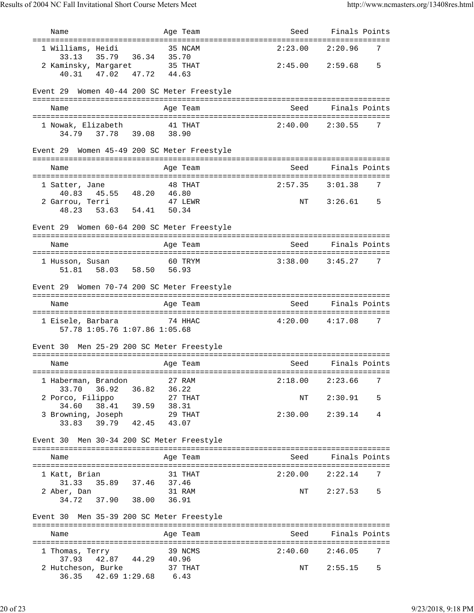| Name                                                                                  | Age Team | Seed                 | Finals Points                      |
|---------------------------------------------------------------------------------------|----------|----------------------|------------------------------------|
| 1 Williams, Heidi                                                                     | 35 NCAM  | =========<br>2:23.00 | ==================<br>2:20.96<br>7 |
| 35.79 36.34 35.70<br>33.13<br>2 Kaminsky, Margaret 35 THAT<br>40.31 47.02 47.72 44.63 |          |                      | $2:45.00$ $2:59.68$<br>5           |
| 40.31 47.02 47.72                                                                     |          |                      |                                    |
| Women 40-44 200 SC Meter Freestyle<br>Event 29                                        |          |                      |                                    |
| Name                                                                                  | Age Team | Seed                 | Finals Points                      |
| 1 Nowak, Elizabeth 41 THAT                                                            |          | $2:40.00$ $2:30.55$  | 7                                  |
| 34.79 37.78 39.08 38.90                                                               |          |                      |                                    |
| Event 29 Women 45-49 200 SC Meter Freestyle                                           |          |                      |                                    |
| Name                                                                                  | Age Team | Seed                 | Finals Points                      |
|                                                                                       |          |                      |                                    |
| 1 Satter, Jane                                                                        | 48 THAT  | $2:57.35$ $3:01.38$  | 7                                  |
| 40.83  45.55  48.20  46.80                                                            |          |                      |                                    |
| 2 Garrou, Terri<br>53.63 54.41 50.34<br>48.23                                         | 47 LEWR  |                      | NT 3:26.61<br>5                    |
|                                                                                       |          |                      |                                    |
| Event 29 Women 60-64 200 SC Meter Freestyle                                           |          |                      |                                    |
| Name                                                                                  | Age Team | Seed                 | Finals Points                      |
|                                                                                       |          |                      |                                    |
| 1 Husson, Susan 60 TRYM                                                               |          | $3:38.00$ $3:45.27$  | 7                                  |
| 51.81  58.03  58.50  56.93                                                            |          |                      |                                    |
|                                                                                       |          |                      |                                    |
| Event 29 Women 70-74 200 SC Meter Freestyle                                           |          |                      |                                    |
| Name                                                                                  | Age Team | Seed                 | Finals Points                      |
|                                                                                       |          |                      |                                    |
| 1 Eisele, Barbara                                                                     | 74 HHAC  | $4:20.00$ $4:17.08$  | 7                                  |
| 57.78 1:05.76 1:07.86 1:05.68                                                         |          |                      |                                    |
|                                                                                       |          |                      |                                    |
| Men 25-29 200 SC Meter Freestyle<br>Event 30                                          |          |                      |                                    |
| Name                                                                                  |          | Seed                 | Finals Points                      |
|                                                                                       | Age Team |                      |                                    |
| 1 Haberman, Brandon                                                                   | 27 RAM   | 2:18.00              | 2:23.66<br>7                       |
| 36.92 36.82 36.22<br>33.70                                                            |          |                      |                                    |
| 2 Porco, Filippo                                                                      | 27 THAT  | NT                   | 2:30.91<br>5                       |
| 38.41 39.59 38.31<br>34.60                                                            |          |                      |                                    |
| 3 Browning, Joseph                                                                    | 29 THAT  | $2:30.00$ $2:39.14$  | 4                                  |
| 33.83 39.79 42.45                                                                     | 43.07    |                      |                                    |
|                                                                                       |          |                      |                                    |
| Event 30 Men 30-34 200 SC Meter Freestyle                                             |          |                      |                                    |
| Name                                                                                  | Age Team | Seed                 | Finals Points                      |
|                                                                                       |          |                      |                                    |
| 1 Katt, Brian                                                                         | 31 THAT  |                      | 7<br>$2:20.00$ $2:22.14$           |
| 35.89 37.46 37.46<br>31.33                                                            |          |                      |                                    |
| 2 Aber, Dan                                                                           | 31 RAM   | NT                   | 2:27.53<br>.5                      |
| 37.90 38.00 36.91<br>34.72                                                            |          |                      |                                    |
|                                                                                       |          |                      |                                    |
| Event 30 Men 35-39 200 SC Meter Freestyle                                             |          |                      |                                    |
| Name                                                                                  | Age Team |                      | Seed Finals Points                 |
|                                                                                       |          |                      |                                    |
| 1 Thomas, Terry                                                                       | 39 NCMS  | 2:40.60              | 2:46.05<br>7                       |
| 42.87 44.29 40.96<br>37.93                                                            |          |                      |                                    |
| 2 Hutcheson, Burke                                                                    | 37 THAT  | NT                   | 2:55.15<br>5                       |
| 42.69 1:29.68 6.43<br>36.35                                                           |          |                      |                                    |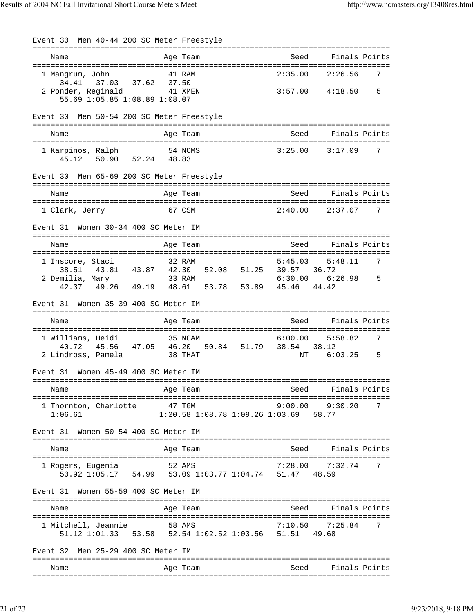Event 30 Men 40-44 200 SC Meter Freestyle =============================================================================== Name Age Team Seed Finals Points =============================================================================== 1 Mangrum, John 41 RAM 2:35.00 2:26.56 7 34.41 37.03 37.62 37.50 2 Ponder, Reginald 41 XMEN 3:57.00 4:18.50 5 55.69 1:05.85 1:08.89 1:08.07 Event 30 Men 50-54 200 SC Meter Freestyle =============================================================================== Name and Age Team Seed Finals Points =============================================================================== 1 Karpinos, Ralph 54 NCMS 3:25.00 3:17.09 7 45.12 50.90 52.24 48.83 Event 30 Men 65-69 200 SC Meter Freestyle =============================================================================== Name Age Team Seed Finals Points =============================================================================== 1 Clark, Jerry 67 CSM 2:40.00 2:37.07 7 Event 31 Women 30-34 400 SC Meter IM =============================================================================== Name and Age Team and Seed Finals Points =============================================================================== 1 Inscore, Staci 32 RAM 5:45.03 5:48.11 38.51 43.81 43.87 42.30 52.08 51.25 39.57 36.72 2 Demilia, Mary 33 RAM 6:30.00 6:26.98 5 42.37 49.26 49.19 48.61 53.78 53.89 45.46 44.42 Event 31 Women 35-39 400 SC Meter IM =============================================================================== Name and Age Team and Seed Finals Points =============================================================================== 1 Williams, Heidi 35 NCAM 40.72 45.56 47.05 46.20 50.84 51.79 38.54 38.12 2 Lindross, Pamela 38 THAT NT 6:03.25 5 Event 31 Women 45-49 400 SC Meter IM =============================================================================== Name Age Team Seed Finals Points =============================================================================== 1 Thornton, Charlotte 47 TGM 9:00.00 9:30.20 7 1:06.61 1:20.58 1:08.78 1:09.26 1:03.69 58.77 Event 31 Women 50-54 400 SC Meter IM =============================================================================== Name Age Team =============================================================================== 1 Rogers, Eugenia 52 AMS 7:28.00 7:32.74 7 50.92 1:05.17 54.99 53.09 1:03.77 1:04.74 51.47 48.59 Event 31 Women 55-59 400 SC Meter IM =============================================================================== Name and Age Team Seed Finals Points =============================================================================== 1 Mitchell, Jeannie 58 AMS 7:10.50 7:25.84 7 51.12 1:01.33 53.58 52.54 1:02.52 1:03.56 51.51 49.68 Event 32 Men 25-29 400 SC Meter IM =============================================================================== Name Team Age Team Seed Finals Points ===============================================================================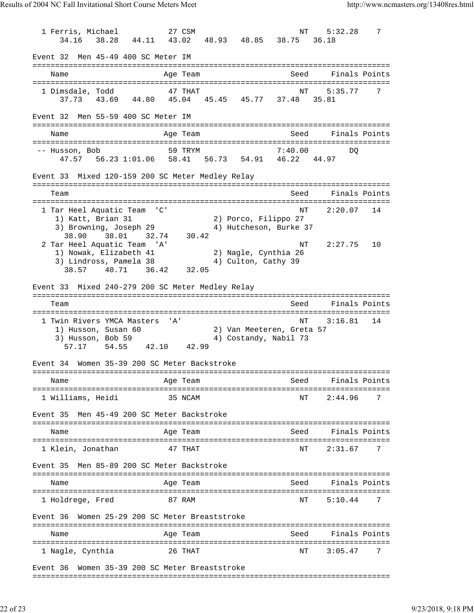1 Ferris, Michael 27 CSM NT 5:32.28 7 34.16 38.28 44.11 43.02 48.93 48.85 38.75 36.18 Event 32 Men 45-49 400 SC Meter IM =============================================================================== Name Age Team Seed Finals Points =============================================================================== 1 Dimsdale, Todd 5:35.77 47 THAT 37.73 43.69 44.80 45.04 45.45 45.77 37.48 35.81 Event 32 Men 55-59 400 SC Meter IM =============================================================================== Name **Age Team** Age Team Seed Finals Points =============================================================================== -- Husson, Bob 59 TRYM 7:40.00 DQ 47.57 56.23 1:01.06 58.41 56.73 54.91 46.22 44.97 Event 33 Mixed 120-159 200 SC Meter Medley Relay =============================================================================== Team Seed Finals Points =============================================================================== 1 Tar Heel Aquatic Team 'C' NT 2:20.07 14 1) Katt, Brian 31 2) Porco, Filippo 27 3) Browning, Joseph 29 4) Hutcheson, Burke 37 38.90 38.01 32.74 30.42 2 Tar Heel Aquatic Team 'A' NT 2:27.75 10 1) Nowak, Elizabeth 41 2) Nagle, Cynthia 26 3) Lindross, Pamela 38 4) Culton, Cathy 39 38.57 40.71 36.42 32.05 Event 33 Mixed 240-279 200 SC Meter Medley Relay =============================================================================== Team Seed Finals Points =============================================================================== 1 Twin Rivers YMCA Masters 'A' NT 3:16.81 14 1) Husson, Susan 60 2) Van Meeteren, Greta 57 3) Husson, Bob 59 4) Costandy, Nabil 73 57.17 54.55 42.10 42.99 Event 34 Women 35-39 200 SC Meter Backstroke =============================================================================== Name Age Team Seed Finals Points =============================================================================== 1 Williams, Heidi 35 NCAM NT 2:44.96 7 Event 35 Men 45-49 200 SC Meter Backstroke =============================================================================== Name Age Team Seed Finals Points =============================================================================== 1 Klein, Jonathan Event 35 Men 85-89 200 SC Meter Backstroke =============================================================================== Name Age Team Seed Finals Points =============================================================================== 1 Holdrege, Fred 87 RAM NT 5:10.44 7 Event 36 Women 25-29 200 SC Meter Breaststroke =============================================================================== Name and Age Team Seed Finals Points =============================================================================== 1 Nagle, Cynthia 26 THAT NT 3:05.47 7 Event 36 Women 35-39 200 SC Meter Breaststroke

===============================================================================